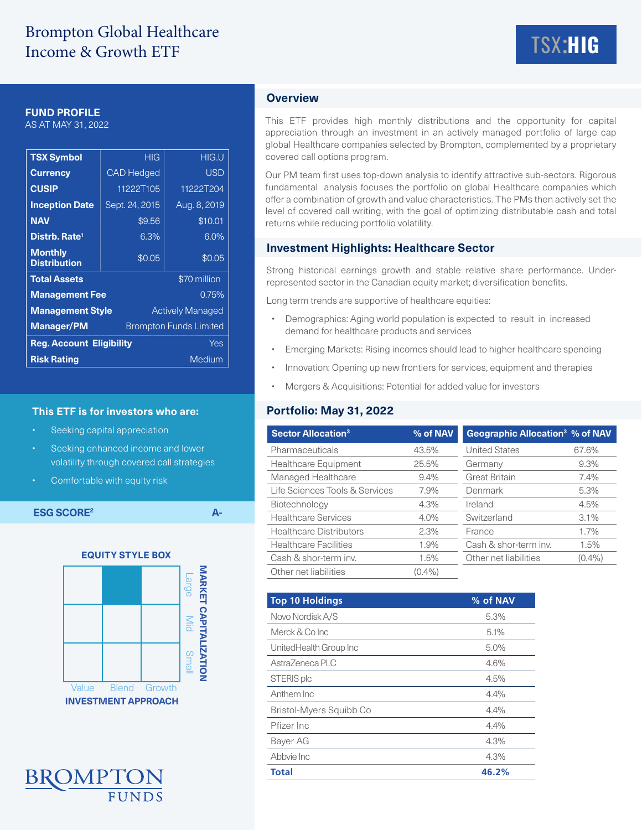### **FUND PROFILE**

AS AT MAY 31, 2022

| <b>TSX Symbol</b>                                  |                   | <b>HIG</b>              | <b>HIG.U</b> |  |  |
|----------------------------------------------------|-------------------|-------------------------|--------------|--|--|
| <b>Currency</b>                                    | <b>CAD Hedged</b> |                         | <b>USD</b>   |  |  |
| <b>CUSIP</b>                                       | 11222T105         |                         | 11222T204    |  |  |
| <b>Inception Date</b>                              | Sept. 24, 2015    |                         | Aug. 8, 2019 |  |  |
| <b>NAV</b>                                         |                   | \$9.56                  | \$10.01      |  |  |
| Distrb. Rate <sup>1</sup>                          |                   | 6.3%                    | 6.0%         |  |  |
| <b>Monthly</b><br><b>Distribution</b>              |                   | \$0.05                  | \$0.05       |  |  |
| <b>Total Assets</b>                                |                   | \$70 million            |              |  |  |
| <b>Management Fee</b>                              | 0.75%             |                         |              |  |  |
| <b>Management Style</b>                            |                   | <b>Actively Managed</b> |              |  |  |
| <b>Manager/PM</b><br><b>Brompton Funds Limited</b> |                   |                         |              |  |  |
| <b>Reg. Account Eligibility</b><br>Yes             |                   |                         |              |  |  |
| <b>Risk Rating</b>                                 | Medium            |                         |              |  |  |

### **This ETF is for investors who are:**

- Seeking capital appreciation
- Seeking enhanced income and lower volatility through covered call strategies
- Comfortable with equity risk

**ESG SCORE<sup>2</sup> A-**

**EQUITY STYLE BOXMARKET CAPITALIZATION MARKET CAPITALIZATION** Large Mid Small Value Blend Growth **INVESTMENT APPROACH**



# **Overview**

This ETF provides high monthly distributions and the opportunity for capital appreciation through an investment in an actively managed portfolio of large cap global Healthcare companies selected by Brompton, complemented by a proprietary covered call options program.

Our PM team first uses top-down analysis to identify attractive sub-sectors. Rigorous fundamental analysis focuses the portfolio on global Healthcare companies which offer a combination of growth and value characteristics. The PMs then actively set the level of covered call writing, with the goal of optimizing distributable cash and total returns while reducing portfolio volatility.

### **Investment Highlights: Healthcare Sector**

Strong historical earnings growth and stable relative share performance. Underrepresented sector in the Canadian equity market; diversification benefits.

Long term trends are supportive of healthcare equities:

- Demographics: Aging world population is expected to result in increased demand for healthcare products and services
- Emerging Markets: Rising incomes should lead to higher healthcare spending
- Innovation: Opening up new frontiers for services, equipment and therapies
- Mergers & Acquisitions: Potential for added value for investors

## **Portfolio: May 31, 2022**

| <b>Sector Allocation<sup>3</sup></b> | % of NAV  | Geographic Allocation <sup>3</sup> % of NAV |           |  |
|--------------------------------------|-----------|---------------------------------------------|-----------|--|
| Pharmaceuticals                      | 43.5%     | <b>United States</b>                        | 67.6%     |  |
| <b>Healthcare Equipment</b>          | 25.5%     | Germany                                     | 9.3%      |  |
| Managed Healthcare                   | $9.4\%$   | <b>Great Britain</b>                        | 7.4%      |  |
| Life Sciences Tools & Services       | 7.9%      | Denmark                                     | 5.3%      |  |
| Biotechnology                        | 4.3%      | Ireland                                     | 4.5%      |  |
| <b>Healthcare Services</b>           | 4.0%      | Switzerland                                 | $3.1\%$   |  |
| <b>Healthcare Distributors</b>       | 2.3%      | France                                      | 1.7%      |  |
| <b>Healthcare Facilities</b>         | 1.9%      | Cash & shor-term inv.                       | 1.5%      |  |
| Cash & shor-term inv.                | 1.5%      | Other net liabilities                       | $(0.4\%)$ |  |
| Other net liabilities                | $(0.4\%)$ |                                             |           |  |

| Top 10 Holdings         | % of NAV |
|-------------------------|----------|
| Novo Nordisk A/S        | 5.3%     |
| Merck & Co Inc          | 5.1%     |
| UnitedHealth Group Inc  | 5.0%     |
| AstraZeneca PLC         | 4.6%     |
| STERIS plc              | 4.5%     |
| Anthem Inc              | 4.4%     |
| Bristol-Myers Squibb Co | 4.4%     |
| Pfizer Inc              | 4.4%     |
| Bayer AG                | 4.3%     |
| Abbyie Inc              | 4.3%     |
| <b>Total</b>            | 46.2%    |